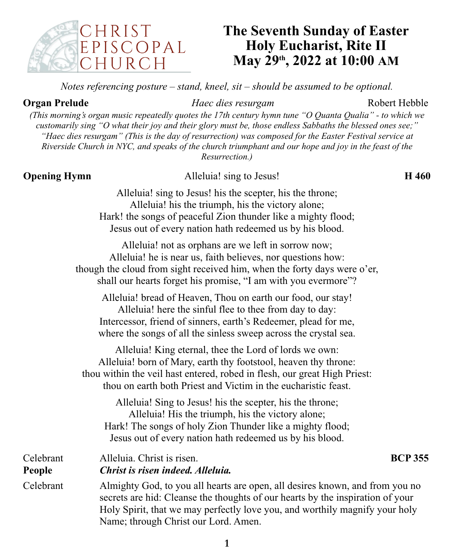

# **The Seventh Sunday of Easter Holy Eucharist, Rite II May 29th, 2022 at 10:00 AM**

*Notes referencing posture – stand, kneel, sit – should be assumed to be optional.*

#### **Organ Prelude** *Prelude <i>Haec dies resurgam* Robert Hebble *Robert Hebble*

*(This morning's organ music repeatedly quotes the 17th century hymn tune "O Quanta Qualia" - to which we customarily sing "O what their joy and their glory must be, those endless Sabbaths the blessed ones see;" "Haec dies resurgam" (This is the day of resurrection) was composed for the Easter Festival service at Riverside Church in NYC, and speaks of the church triumphant and our hope and joy in the feast of the Resurrection.)*

# **Opening Hymn Alleluia!** sing to Jesus! **H 460**

Alleluia! sing to Jesus! his the scepter, his the throne; Alleluia! his the triumph, his the victory alone; Hark! the songs of peaceful Zion thunder like a mighty flood; Jesus out of every nation hath redeemed us by his blood.

Alleluia! bread of Heaven, Thou on earth our food, our stay! Alleluia! here the sinful flee to thee from day to day: Intercessor, friend of sinners, earth's Redeemer, plead for me, where the songs of all the sinless sweep across the crystal sea.

Alleluia! King eternal, thee the Lord of lords we own: Alleluia! born of Mary, earth thy footstool, heaven thy throne: thou within the veil hast entered, robed in flesh, our great High Priest: thou on earth both Priest and Victim in the eucharistic feast.

Alleluia! Sing to Jesus! his the scepter, his the throne; Alleluia! His the triumph, his the victory alone; Hark! The songs of holy Zion Thunder like a mighty flood; Jesus out of every nation hath redeemed us by his blood.

| Celebrant | Alleluia. Christ is risen.                                                                                                                                                                                                                                                            | <b>BCP 355</b> |
|-----------|---------------------------------------------------------------------------------------------------------------------------------------------------------------------------------------------------------------------------------------------------------------------------------------|----------------|
| People    | Christ is risen indeed. Alleluia.                                                                                                                                                                                                                                                     |                |
| Celebrant | Almighty God, to you all hearts are open, all desires known, and from you no<br>secrets are hid: Cleanse the thoughts of our hearts by the inspiration of your<br>Holy Spirit, that we may perfectly love you, and worthily magnify your holy<br>Name; through Christ our Lord. Amen. |                |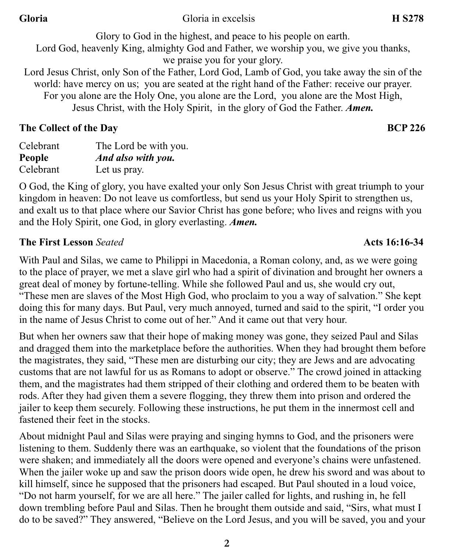**Gloria** Gloria in excelsis **H S278**

Glory to God in the highest, and peace to his people on earth. Lord God, heavenly King, almighty God and Father, we worship you, we give you thanks, we praise you for your glory.

Lord Jesus Christ, only Son of the Father, Lord God, Lamb of God, you take away the sin of the world: have mercy on us; you are seated at the right hand of the Father: receive our prayer. For you alone are the Holy One, you alone are the Lord, you alone are the Most High, Jesus Christ, with the Holy Spirit, in the glory of God the Father. *Amen.*

## **The Collect of the Day BCP 226**

| Celebrant | The Lord be with you. |
|-----------|-----------------------|
| People    | And also with you.    |
| Celebrant | Let us pray.          |

O God, the King of glory, you have exalted your only Son Jesus Christ with great triumph to your kingdom in heaven: Do not leave us comfortless, but send us your Holy Spirit to strengthen us, and exalt us to that place where our Savior Christ has gone before; who lives and reigns with you and the Holy Spirit, one God, in glory everlasting. *Amen.*

## **The First Lesson** *Seated* **Acts 16:16-34**

With Paul and Silas, we came to Philippi in Macedonia, a Roman colony, and, as we were going to the place of prayer, we met a slave girl who had a spirit of divination and brought her owners a great deal of money by fortune-telling. While she followed Paul and us, she would cry out, "These men are slaves of the Most High God, who proclaim to you a way of salvation." She kept doing this for many days. But Paul, very much annoyed, turned and said to the spirit, "I order you in the name of Jesus Christ to come out of her." And it came out that very hour.

But when her owners saw that their hope of making money was gone, they seized Paul and Silas and dragged them into the marketplace before the authorities. When they had brought them before the magistrates, they said, "These men are disturbing our city; they are Jews and are advocating customs that are not lawful for us as Romans to adopt or observe." The crowd joined in attacking them, and the magistrates had them stripped of their clothing and ordered them to be beaten with rods. After they had given them a severe flogging, they threw them into prison and ordered the jailer to keep them securely. Following these instructions, he put them in the innermost cell and fastened their feet in the stocks.

About midnight Paul and Silas were praying and singing hymns to God, and the prisoners were listening to them. Suddenly there was an earthquake, so violent that the foundations of the prison were shaken; and immediately all the doors were opened and everyone's chains were unfastened. When the jailer woke up and saw the prison doors wide open, he drew his sword and was about to kill himself, since he supposed that the prisoners had escaped. But Paul shouted in a loud voice, "Do not harm yourself, for we are all here." The jailer called for lights, and rushing in, he fell down trembling before Paul and Silas. Then he brought them outside and said, "Sirs, what must I do to be saved?" They answered, "Believe on the Lord Jesus, and you will be saved, you and your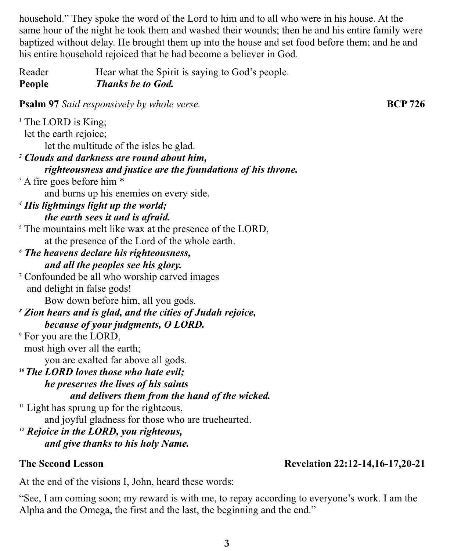household." They spoke the word of the Lord to him and to all who were in his house. At the same hour of the night he took them and washed their wounds; then he and his entire family were baptized without delay. He brought them up into the house and set food before them; and he and his entire household rejoiced that he had become a believer in God.

Reader Hear what the Spirit is saying to God's people. **People** *Thanks be to God.*

**Psalm 97** *Said responsively by whole verse.* **BCP 726** 

| <sup>1</sup> The LORD is King;                                        |
|-----------------------------------------------------------------------|
| let the earth rejoice;                                                |
| let the multitude of the isles be glad.                               |
| <sup>2</sup> Clouds and darkness are round about him,                 |
| righteousness and justice are the foundations of his throne.          |
| <sup>3</sup> A fire goes before him *                                 |
| and burns up his enemies on every side.                               |
| <sup>4</sup> His lightnings light up the world;                       |
| the earth sees it and is afraid.                                      |
| <sup>5</sup> The mountains melt like wax at the presence of the LORD, |
| at the presence of the Lord of the whole earth.                       |
| <sup>6</sup> The heavens declare his righteousness,                   |
| and all the peoples see his glory.                                    |
| <sup>7</sup> Confounded be all who worship carved images              |
| and delight in false gods!                                            |
| Bow down before him, all you gods.                                    |
| <sup>8</sup> Zion hears and is glad, and the cities of Judah rejoice, |
| because of your judgments, O LORD.                                    |
| <sup>9</sup> For you are the LORD,                                    |
| most high over all the earth;                                         |
| you are exalted far above all gods.                                   |
| <sup>10</sup> The LORD loves those who hate evil;                     |
| he preserves the lives of his saints                                  |
| and delivers them from the hand of the wicked.                        |
| <sup>11</sup> Light has sprung up for the righteous,                  |
| and joyful gladness for those who are true hearted.                   |
| $^{12}$ Rejoice in the LORD, you righteous,                           |
| and give thanks to his holy Name.                                     |

## **The Second Lesson** Revelation 22:12-14,16-17,20-21

At the end of the visions I, John, heard these words:

"See, I am coming soon; my reward is with me, to repay according to everyone's work. I am the Alpha and the Omega, the first and the last, the beginning and the end."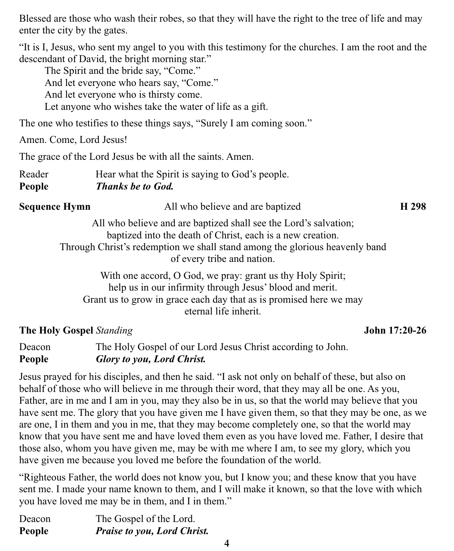Blessed are those who wash their robes, so that they will have the right to the tree of life and may enter the city by the gates.

"It is I, Jesus, who sent my angel to you with this testimony for the churches. I am the root and the descendant of David, the bright morning star."

The Spirit and the bride say, "Come."

And let everyone who hears say, "Come."

And let everyone who is thirsty come.

Let anyone who wishes take the water of life as a gift.

The one who testifies to these things says, "Surely I am coming soon."

Amen. Come, Lord Jesus!

The grace of the Lord Jesus be with all the saints. Amen.

| Reader | Hear what the Spirit is saying to God's people. |
|--------|-------------------------------------------------|
| People | <b>Thanks be to God.</b>                        |

**Sequence Hymn All who believe and are baptized <b>H** 298

All who believe and are baptized shall see the Lord's salvation; baptized into the death of Christ, each is a new creation. Through Christ's redemption we shall stand among the glorious heavenly band of every tribe and nation.

With one accord, O God, we pray: grant us thy Holy Spirit; help us in our infirmity through Jesus' blood and merit. Grant us to grow in grace each day that as is promised here we may eternal life inherit.

**The Holy Gospel** *Standing* **John 17:20-26**

Deacon The Holy Gospel of our Lord Jesus Christ according to John. **People** *Glory to you, Lord Christ.*

Jesus prayed for his disciples, and then he said. "I ask not only on behalf of these, but also on behalf of those who will believe in me through their word, that they may all be one. As you, Father, are in me and I am in you, may they also be in us, so that the world may believe that you have sent me. The glory that you have given me I have given them, so that they may be one, as we are one, I in them and you in me, that they may become completely one, so that the world may know that you have sent me and have loved them even as you have loved me. Father, I desire that those also, whom you have given me, may be with me where I am, to see my glory, which you have given me because you loved me before the foundation of the world.

"Righteous Father, the world does not know you, but I know you; and these know that you have sent me. I made your name known to them, and I will make it known, so that the love with which you have loved me may be in them, and I in them."

| Deacon | The Gospel of the Lord.            |
|--------|------------------------------------|
| People | <b>Praise to you, Lord Christ.</b> |

## **4**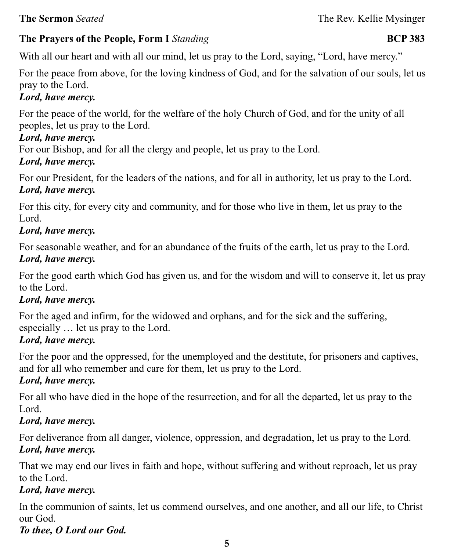# **The Prayers of the People, Form I** *Standing* **by a standing <b>BCP** 383

With all our heart and with all our mind, let us pray to the Lord, saying, "Lord, have mercy."

For the peace from above, for the loving kindness of God, and for the salvation of our souls, let us pray to the Lord.

# *Lord, have mercy.*

For the peace of the world, for the welfare of the holy Church of God, and for the unity of all peoples, let us pray to the Lord.

## *Lord, have mercy.*

For our Bishop, and for all the clergy and people, let us pray to the Lord.

## *Lord, have mercy.*

For our President, for the leaders of the nations, and for all in authority, let us pray to the Lord. *Lord, have mercy.*

For this city, for every city and community, and for those who live in them, let us pray to the Lord.

## *Lord, have mercy.*

For seasonable weather, and for an abundance of the fruits of the earth, let us pray to the Lord. *Lord, have mercy.*

For the good earth which God has given us, and for the wisdom and will to conserve it, let us pray to the Lord.

## *Lord, have mercy.*

For the aged and infirm, for the widowed and orphans, and for the sick and the suffering, especially … let us pray to the Lord.

## *Lord, have mercy.*

For the poor and the oppressed, for the unemployed and the destitute, for prisoners and captives, and for all who remember and care for them, let us pray to the Lord.

# *Lord, have mercy.*

For all who have died in the hope of the resurrection, and for all the departed, let us pray to the Lord.

## *Lord, have mercy.*

For deliverance from all danger, violence, oppression, and degradation, let us pray to the Lord. *Lord, have mercy.*

That we may end our lives in faith and hope, without suffering and without reproach, let us pray to the Lord.

## *Lord, have mercy.*

In the communion of saints, let us commend ourselves, and one another, and all our life, to Christ our God.

## *To thee, O Lord our God.*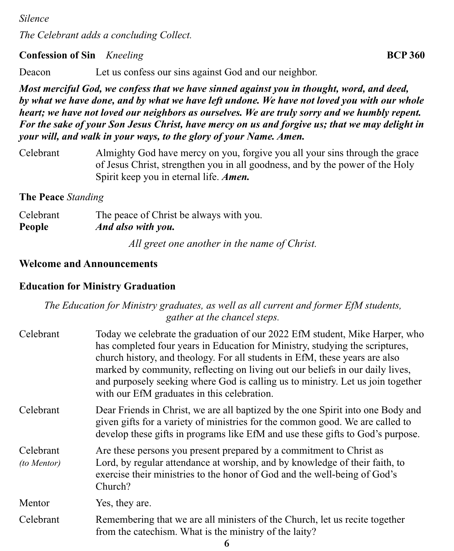*Silence*

*The Celebrant adds a concluding Collect.*

### **Confession of Sin** *Kneeling* **BCP 360**

Deacon Let us confess our sins against God and our neighbor.

*Most merciful God, we confess that we have sinned against you in thought, word, and deed, by what we have done, and by what we have left undone. We have not loved you with our whole heart; we have not loved our neighbors as ourselves. We are truly sorry and we humbly repent. For the sake of your Son Jesus Christ, have mercy on us and forgive us; that we may delight in your will, and walk in your ways, to the glory of your Name. Amen.*

Celebrant Almighty God have mercy on you, forgive you all your sins through the grace of Jesus Christ, strengthen you in all goodness, and by the power of the Holy Spirit keep you in eternal life. *Amen.*

**The Peace** *Standing*

Celebrant The peace of Christ be always with you. **People** *And also with you.*

*All greet one another in the name of Christ.* 

## **Welcome and Announcements**

### **Education for Ministry Graduation**

## *The Education for Ministry graduates, as well as all current and former EfM students, gather at the chancel steps.*

| Celebrant                | Today we celebrate the graduation of our 2022 EfM student, Mike Harper, who<br>has completed four years in Education for Ministry, studying the scriptures,<br>church history, and theology. For all students in EfM, these years are also<br>marked by community, reflecting on living out our beliefs in our daily lives,<br>and purposely seeking where God is calling us to ministry. Let us join together<br>with our EfM graduates in this celebration. |
|--------------------------|---------------------------------------------------------------------------------------------------------------------------------------------------------------------------------------------------------------------------------------------------------------------------------------------------------------------------------------------------------------------------------------------------------------------------------------------------------------|
| Celebrant                | Dear Friends in Christ, we are all baptized by the one Spirit into one Body and<br>given gifts for a variety of ministries for the common good. We are called to<br>develop these gifts in programs like EfM and use these gifts to God's purpose.                                                                                                                                                                                                            |
| Celebrant<br>(to Mentor) | Are these persons you present prepared by a commitment to Christ as<br>Lord, by regular attendance at worship, and by knowledge of their faith, to<br>exercise their ministries to the honor of God and the well-being of God's<br>Church?                                                                                                                                                                                                                    |
| Mentor                   | Yes, they are.                                                                                                                                                                                                                                                                                                                                                                                                                                                |
| Celebrant                | Remembering that we are all ministers of the Church, let us recite together<br>from the catechism. What is the ministry of the laity?                                                                                                                                                                                                                                                                                                                         |

**6**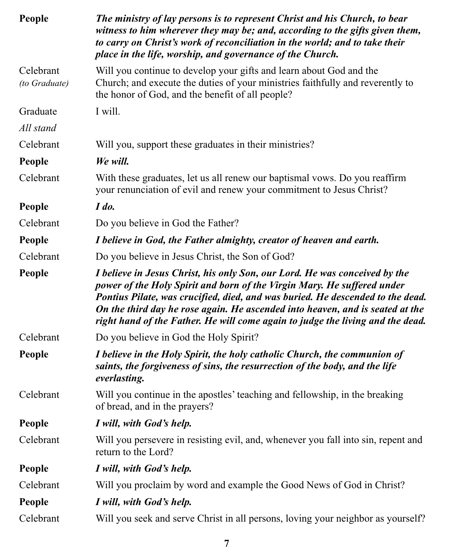| People                     | The ministry of lay persons is to represent Christ and his Church, to bear<br>witness to him wherever they may be; and, according to the gifts given them,<br>to carry on Christ's work of reconciliation in the world; and to take their<br>place in the life, worship, and governance of the Church.                                                                                                     |  |
|----------------------------|------------------------------------------------------------------------------------------------------------------------------------------------------------------------------------------------------------------------------------------------------------------------------------------------------------------------------------------------------------------------------------------------------------|--|
| Celebrant<br>(to Graduate) | Will you continue to develop your gifts and learn about God and the<br>Church; and execute the duties of your ministries faithfully and reverently to<br>the honor of God, and the benefit of all people?                                                                                                                                                                                                  |  |
| Graduate                   | I will.                                                                                                                                                                                                                                                                                                                                                                                                    |  |
| All stand                  |                                                                                                                                                                                                                                                                                                                                                                                                            |  |
| Celebrant                  | Will you, support these graduates in their ministries?                                                                                                                                                                                                                                                                                                                                                     |  |
| People                     | We will.                                                                                                                                                                                                                                                                                                                                                                                                   |  |
| Celebrant                  | With these graduates, let us all renew our baptismal vows. Do you reaffirm<br>your renunciation of evil and renew your commitment to Jesus Christ?                                                                                                                                                                                                                                                         |  |
| People                     | $I$ do.                                                                                                                                                                                                                                                                                                                                                                                                    |  |
| Celebrant                  | Do you believe in God the Father?                                                                                                                                                                                                                                                                                                                                                                          |  |
| People                     | I believe in God, the Father almighty, creator of heaven and earth.                                                                                                                                                                                                                                                                                                                                        |  |
| Celebrant                  | Do you believe in Jesus Christ, the Son of God?                                                                                                                                                                                                                                                                                                                                                            |  |
| People                     | I believe in Jesus Christ, his only Son, our Lord. He was conceived by the<br>power of the Holy Spirit and born of the Virgin Mary. He suffered under<br>Pontius Pilate, was crucified, died, and was buried. He descended to the dead.<br>On the third day he rose again. He ascended into heaven, and is seated at the<br>right hand of the Father. He will come again to judge the living and the dead. |  |
| Celebrant                  | Do you believe in God the Holy Spirit?                                                                                                                                                                                                                                                                                                                                                                     |  |
| People                     | I believe in the Holy Spirit, the holy catholic Church, the communion of<br>saints, the forgiveness of sins, the resurrection of the body, and the life<br>everlasting.                                                                                                                                                                                                                                    |  |
| Celebrant                  | Will you continue in the apostles' teaching and fellowship, in the breaking<br>of bread, and in the prayers?                                                                                                                                                                                                                                                                                               |  |
| People                     | I will, with God's help.                                                                                                                                                                                                                                                                                                                                                                                   |  |
| Celebrant                  | Will you persevere in resisting evil, and, whenever you fall into sin, repent and<br>return to the Lord?                                                                                                                                                                                                                                                                                                   |  |
| People                     | I will, with God's help.                                                                                                                                                                                                                                                                                                                                                                                   |  |
| Celebrant                  | Will you proclaim by word and example the Good News of God in Christ?                                                                                                                                                                                                                                                                                                                                      |  |
| People                     | I will, with God's help.                                                                                                                                                                                                                                                                                                                                                                                   |  |
| Celebrant                  | Will you seek and serve Christ in all persons, loving your neighbor as yourself?                                                                                                                                                                                                                                                                                                                           |  |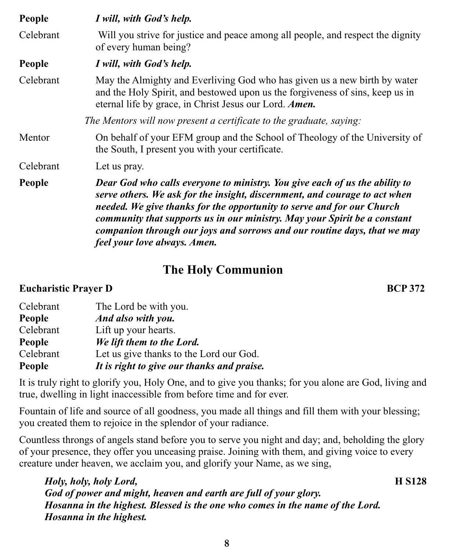| People    | I will, with God's help.                                                                                                                                                                                                                                                                                                                                                                                                     |  |
|-----------|------------------------------------------------------------------------------------------------------------------------------------------------------------------------------------------------------------------------------------------------------------------------------------------------------------------------------------------------------------------------------------------------------------------------------|--|
| Celebrant | Will you strive for justice and peace among all people, and respect the dignity<br>of every human being?                                                                                                                                                                                                                                                                                                                     |  |
| People    | I will, with God's help.                                                                                                                                                                                                                                                                                                                                                                                                     |  |
| Celebrant | May the Almighty and Everliving God who has given us a new birth by water<br>and the Holy Spirit, and bestowed upon us the forgiveness of sins, keep us in<br>eternal life by grace, in Christ Jesus our Lord. Amen.                                                                                                                                                                                                         |  |
|           | The Mentors will now present a certificate to the graduate, saying:                                                                                                                                                                                                                                                                                                                                                          |  |
| Mentor    | On behalf of your EFM group and the School of Theology of the University of<br>the South, I present you with your certificate.                                                                                                                                                                                                                                                                                               |  |
| Celebrant | Let us pray.                                                                                                                                                                                                                                                                                                                                                                                                                 |  |
| People    | Dear God who calls everyone to ministry. You give each of us the ability to<br>serve others. We ask for the insight, discernment, and courage to act when<br>needed. We give thanks for the opportunity to serve and for our Church<br>community that supports us in our ministry. May your Spirit be a constant<br>companion through our joys and sorrows and our routine days, that we may<br>feel your love always. Amen. |  |

# **The Holy Communion**

### **Eucharistic Prayer D BCP 372**

| Celebrant | The Lord be with you.                      |
|-----------|--------------------------------------------|
| People    | And also with you.                         |
| Celebrant | Lift up your hearts.                       |
| People    | We lift them to the Lord.                  |
| Celebrant | Let us give thanks to the Lord our God.    |
| People    | It is right to give our thanks and praise. |

It is truly right to glorify you, Holy One, and to give you thanks; for you alone are God, living and true, dwelling in light inaccessible from before time and for ever.

Fountain of life and source of all goodness, you made all things and fill them with your blessing; you created them to rejoice in the splendor of your radiance.

Countless throngs of angels stand before you to serve you night and day; and, beholding the glory of your presence, they offer you unceasing praise. Joining with them, and giving voice to every creature under heaven, we acclaim you, and glorify your Name, as we sing,

*Holy, holy, holy Lord,* **H S128** *God of power and might, heaven and earth are full of your glory. Hosanna in the highest. Blessed is the one who comes in the name of the Lord. Hosanna in the highest.*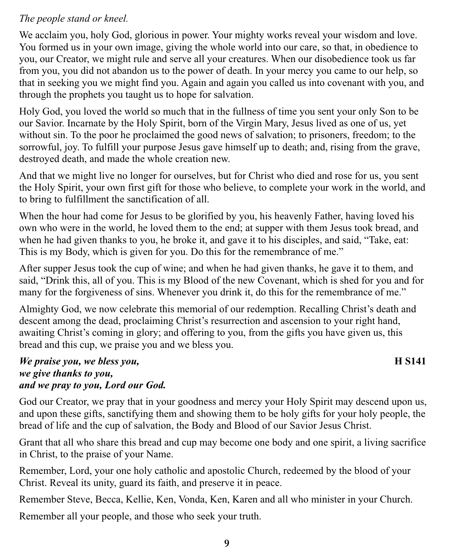## *The people stand or kneel.*

We acclaim you, holy God, glorious in power. Your mighty works reveal your wisdom and love. You formed us in your own image, giving the whole world into our care, so that, in obedience to you, our Creator, we might rule and serve all your creatures. When our disobedience took us far from you, you did not abandon us to the power of death. In your mercy you came to our help, so that in seeking you we might find you. Again and again you called us into covenant with you, and through the prophets you taught us to hope for salvation.

Holy God, you loved the world so much that in the fullness of time you sent your only Son to be our Savior. Incarnate by the Holy Spirit, born of the Virgin Mary, Jesus lived as one of us, yet without sin. To the poor he proclaimed the good news of salvation; to prisoners, freedom; to the sorrowful, joy. To fulfill your purpose Jesus gave himself up to death; and, rising from the grave, destroyed death, and made the whole creation new.

And that we might live no longer for ourselves, but for Christ who died and rose for us, you sent the Holy Spirit, your own first gift for those who believe, to complete your work in the world, and to bring to fulfillment the sanctification of all.

When the hour had come for Jesus to be glorified by you, his heavenly Father, having loved his own who were in the world, he loved them to the end; at supper with them Jesus took bread, and when he had given thanks to you, he broke it, and gave it to his disciples, and said, "Take, eat: This is my Body, which is given for you. Do this for the remembrance of me."

After supper Jesus took the cup of wine; and when he had given thanks, he gave it to them, and said, "Drink this, all of you. This is my Blood of the new Covenant, which is shed for you and for many for the forgiveness of sins. Whenever you drink it, do this for the remembrance of me."

Almighty God, we now celebrate this memorial of our redemption. Recalling Christ's death and descent among the dead, proclaiming Christ's resurrection and ascension to your right hand, awaiting Christ's coming in glory; and offering to you, from the gifts you have given us, this bread and this cup, we praise you and we bless you.

### *We praise you, we bless you,* **H S141** *we give thanks to you, and we pray to you, Lord our God.*

God our Creator, we pray that in your goodness and mercy your Holy Spirit may descend upon us, and upon these gifts, sanctifying them and showing them to be holy gifts for your holy people, the bread of life and the cup of salvation, the Body and Blood of our Savior Jesus Christ.

Grant that all who share this bread and cup may become one body and one spirit, a living sacrifice in Christ, to the praise of your Name.

Remember, Lord, your one holy catholic and apostolic Church, redeemed by the blood of your Christ. Reveal its unity, guard its faith, and preserve it in peace.

Remember Steve, Becca, Kellie, Ken, Vonda, Ken, Karen and all who minister in your Church.

Remember all your people, and those who seek your truth.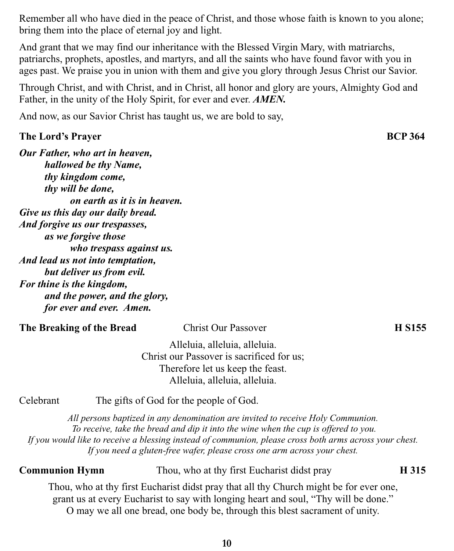Remember all who have died in the peace of Christ, and those whose faith is known to you alone; bring them into the place of eternal joy and light.

And grant that we may find our inheritance with the Blessed Virgin Mary, with matriarchs, patriarchs, prophets, apostles, and martyrs, and all the saints who have found favor with you in ages past. We praise you in union with them and give you glory through Jesus Christ our Savior.

Through Christ, and with Christ, and in Christ, all honor and glory are yours, Almighty God and Father, in the unity of the Holy Spirit, for ever and ever. *AMEN.*

And now, as our Savior Christ has taught us, we are bold to say,

### **The Lord's Prayer BCP 364**

*Our Father, who art in heaven, hallowed be thy Name, thy kingdom come, thy will be done, on earth as it is in heaven. Give us this day our daily bread. And forgive us our trespasses, as we forgive those who trespass against us. And lead us not into temptation, but deliver us from evil. For thine is the kingdom, and the power, and the glory, for ever and ever. Amen.*

# **The Breaking of the Bread Christ Our Passover <b>H** S155 Alleluia, alleluia, alleluia. Christ our Passover is sacrificed for us; Therefore let us keep the feast. Alleluia, alleluia, alleluia. Celebrant The gifts of God for the people of God. *All persons baptized in any denomination are invited to receive Holy Communion. To receive, take the bread and dip it into the wine when the cup is offered to you. If you would like to receive a blessing instead of communion, please cross both arms across your chest. If you need a gluten-free wafer, please cross one arm across your chest.* **Communion Hymn Thou, who at thy first Eucharist didst pray <b>H** 315

Thou, who at thy first Eucharist didst pray that all thy Church might be for ever one, grant us at every Eucharist to say with longing heart and soul, "Thy will be done." O may we all one bread, one body be, through this blest sacrament of unity.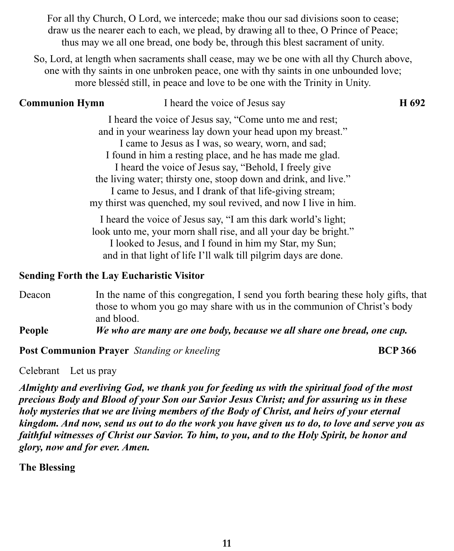For all thy Church, O Lord, we intercede; make thou our sad divisions soon to cease; draw us the nearer each to each, we plead, by drawing all to thee, O Prince of Peace; thus may we all one bread, one body be, through this blest sacrament of unity.

So, Lord, at length when sacraments shall cease, may we be one with all thy Church above, one with thy saints in one unbroken peace, one with thy saints in one unbounded love; more blesséd still, in peace and love to be one with the Trinity in Unity.

| <b>Communion Hymn</b> | I heard the voice of Jesus say                                   | H <sub>692</sub> |
|-----------------------|------------------------------------------------------------------|------------------|
|                       | I heard the voice of Jesus say, "Come unto me and rest;          |                  |
|                       | and in your weariness lay down your head upon my breast."        |                  |
|                       | I came to Jesus as I was, so weary, worn, and sad;               |                  |
|                       | I found in him a resting place, and he has made me glad.         |                  |
|                       | I heard the voice of Jesus say, "Behold, I freely give           |                  |
|                       | the living water; thirsty one, stoop down and drink, and live."  |                  |
|                       | I came to Jesus, and I drank of that life-giving stream;         |                  |
|                       | my thirst was quenched, my soul revived, and now I live in him.  |                  |
|                       | I heard the voice of Jesus say, "I am this dark world's light;   |                  |
|                       | look unto me, your morn shall rise, and all your day be bright." |                  |
|                       | I looked to Jesus, and I found in him my Star, my Sun;           |                  |
|                       | and in that light of life I'll walk till pilgrim days are done.  |                  |

#### **Sending Forth the Lay Eucharistic Visitor**

Deacon In the name of this congregation, I send you forth bearing these holy gifts, that those to whom you go may share with us in the communion of Christ's body and blood. **People** *We who are many are one body, because we all share one bread, one cup.*

**Post Communion Prayer** *Standing or kneeling* **BCP 366** 

Celebrant Let us pray

*Almighty and everliving God, we thank you for feeding us with the spiritual food of the most precious Body and Blood of your Son our Savior Jesus Christ; and for assuring us in these holy mysteries that we are living members of the Body of Christ, and heirs of your eternal kingdom. And now, send us out to do the work you have given us to do, to love and serve you as faithful witnesses of Christ our Savior. To him, to you, and to the Holy Spirit, be honor and glory, now and for ever. Amen.*

**The Blessing**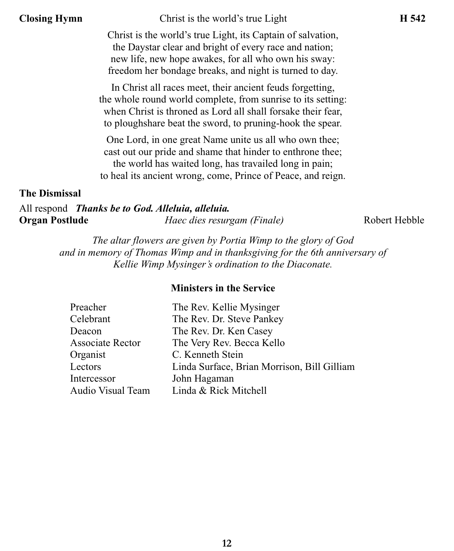**Closing Hymn Christ is the world's true Light H 542** 

Christ is the world's true Light, its Captain of salvation, the Daystar clear and bright of every race and nation; new life, new hope awakes, for all who own his sway: freedom her bondage breaks, and night is turned to day.

In Christ all races meet, their ancient feuds forgetting, the whole round world complete, from sunrise to its setting: when Christ is throned as Lord all shall forsake their fear, to ploughshare beat the sword, to pruning-hook the spear.

One Lord, in one great Name unite us all who own thee; cast out our pride and shame that hinder to enthrone thee; the world has waited long, has travailed long in pain; to heal its ancient wrong, come, Prince of Peace, and reign.

### **The Dismissal**

All respond *Thanks be to God. Alleluia, alleluia.*  **Organ Postlude** *Haec dies resurgam (Finale)* Robert Hebble

*The altar flowers are given by Portia Wimp to the glory of God and in memory of Thomas Wimp and in thanksgiving for the 6th anniversary of Kellie Wimp Mysinger's ordination to the Diaconate.* 

#### **Ministers in the Service**

| Preacher          | The Rev. Kellie Mysinger                    |
|-------------------|---------------------------------------------|
| Celebrant         | The Rev. Dr. Steve Pankey                   |
| Deacon            | The Rev. Dr. Ken Casey                      |
| Associate Rector  | The Very Rev. Becca Kello                   |
| Organist          | C. Kenneth Stein                            |
| Lectors           | Linda Surface, Brian Morrison, Bill Gilliam |
| Intercessor       | John Hagaman                                |
| Audio Visual Team | Linda & Rick Mitchell                       |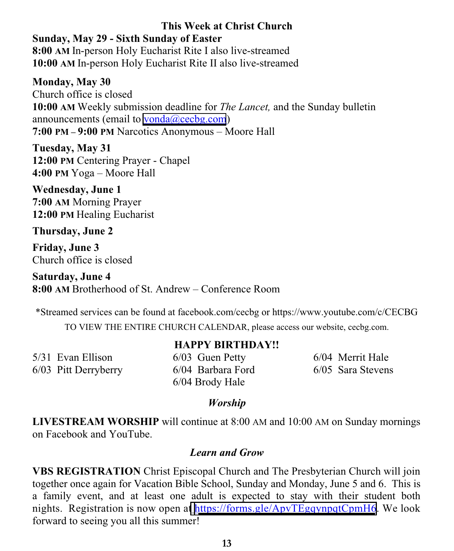## **This Week at Christ Church**

**Sunday, May 29 - Sixth Sunday of Easter** 

**8:00 AM** In-person Holy Eucharist Rite I also live-streamed **10:00 AM** In-person Holy Eucharist Rite II also live-streamed

### **Monday, May 30**

Church office is closed **10:00 AM** Weekly submission deadline for *The Lancet,* and the Sunday bulletin announcements (email to  $vonda(\theta, ccon)$ ) **7:00 PM – 9:00 PM** Narcotics Anonymous – Moore Hall

**Tuesday, May 31 12:00 PM** Centering Prayer - Chapel **4:00 PM** Yoga – Moore Hall

**Wednesday, June 1 7:00 AM** Morning Prayer **12:00 PM** Healing Eucharist

**Thursday, June 2** 

**Friday, June 3**  Church office is closed

**Saturday, June 4 8:00 AM** Brotherhood of St. Andrew – Conference Room

\*Streamed services can be found at facebook.com/cecbg or https://www.youtube.com/c/CECBG

TO VIEW THE ENTIRE CHURCH CALENDAR, please access our website, cecbg.com.

| 5/31 Evan Ellison    |
|----------------------|
| 6/03 Pitt Derryberry |

**HAPPY BIRTHDAY!!**

6/03 Guen Petty 6/04 Barbara Ford 6/04 Brody Hale

6/04 Merrit Hale 6/05 Sara Stevens

# *Worship*

**LIVESTREAM WORSHIP** will continue at 8:00 AM and 10:00 AM on Sunday mornings on Facebook and YouTube.

## *Learn and Grow*

**VBS REGISTRATION** Christ Episcopal Church and The Presbyterian Church will join together once again for Vacation Bible School, Sunday and Monday, June 5 and 6. This is a family event, and at least one adult is expected to stay with their student both nigh[t](https://forms.gle/ApvTEgqynpqtCpmH6)s. Registration is now open at <https://forms.gle/ApvTEgqynpqtCpmH6>. We look forward to seeing you all this summer!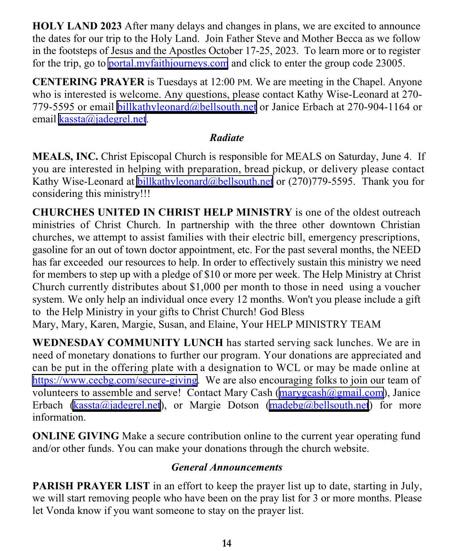**HOLY LAND 2023** After many delays and changes in plans, we are excited to announce the dates for our trip to the Holy Land. Join Father Steve and Mother Becca as we follow in the footsteps of Jesus and the Apostles October 17-25, 2023. To learn more or to register for the trip, go to [portal.myfaithjourneys.com](http://portal.myfaithjourneys.com/) and click to enter the group code 23005.

**CENTERING PRAYER** is Tuesdays at 12:00 PM. We are meeting in the Chapel. Anyone who is interested is welcome. Any questions, please contact Kathy Wise-Leonard at 270 779-5595 or email [billkathyleonard@bellsouth.net](mailto:billkathyleonard@bellsouth.net) or Janice Erbach at 270-904-1164 or email [kassta@jadegrel.net](mailto:kassta@jadegrel.net).

## *Radiate*

**MEALS, INC.** Christ Episcopal Church is responsible for MEALS on Saturday, June 4. If you are interested in helping with preparation, bread pickup, or delivery please contact Kathy Wise-Leonard at [billkathyleonard@bellsouth.net](mailto:billkathyleonard@bellsouth.net) or (270)779-5595. Thank you for considering this ministry!!!

**CHURCHES UNITED IN CHRIST HELP MINISTRY** is one of the oldest outreach ministries of Christ Church. In partnership with the three other downtown Christian churches, we attempt to assist families with their electric bill, emergency prescriptions, gasoline for an out of town doctor appointment, etc. For the past several months, the NEED has far exceeded our resources to help. In order to effectively sustain this ministry we need for members to step up with a pledge of \$10 or more per week. The Help Ministry at Christ Church currently distributes about \$1,000 per month to those in need using a voucher system. We only help an individual once every 12 months. Won't you please include a gift to the Help Ministry in your gifts to Christ Church! God Bless Mary, Mary, Karen, Margie, Susan, and Elaine, Your HELP MINISTRY TEAM

**WEDNESDAY COMMUNITY LUNCH** has started serving sack lunches. We are in need of monetary donations to further our program. Your donations are appreciated and can be put in the offering plate with a designation to WCL or may be made online at <https://www.cecbg.com/secure-giving>. We are also encouraging folks to join our team of volunteers to assemble and serve! Contact Mary Cash ([marygcash@gmail.com](mailto:marygcash@gmail.com)), Janice Erbach ( $\frac{\text{kassta}(a)\text{iadegrel.net}}{\text{net}}$ ), or Margie Dotson ( $\frac{\text{madebg}(a)\text{bellsouth.net}}{\text{net}}$ ) for more information.

**ONLINE GIVING** Make a secure contribution online to the current year operating fund and/or other funds. You can make your donations through the church website.

## *General Announcements*

**PARISH PRAYER LIST** in an effort to keep the prayer list up to date, starting in July, we will start removing people who have been on the pray list for 3 or more months. Please let Vonda know if you want someone to stay on the prayer list.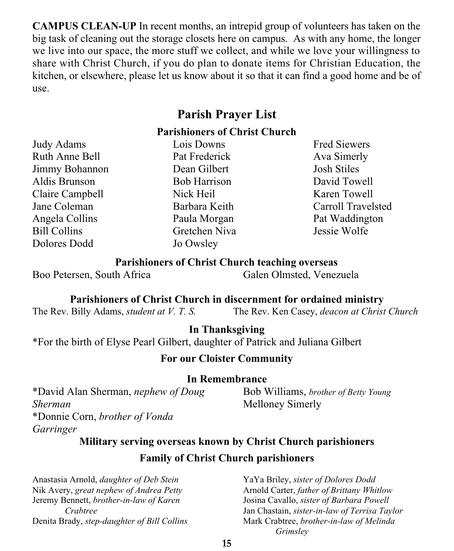**CAMPUS CLEAN-UP** In recent months, an intrepid group of volunteers has taken on the big task of cleaning out the storage closets here on campus. As with any home, the longer we live into our space, the more stuff we collect, and while we love your willingness to share with Christ Church, if you do plan to donate items for Christian Education, the kitchen, or elsewhere, please let us know about it so that it can find a good home and be of use.

# **Parish Prayer List**

### **Parishioners of Christ Church**

Judy Adams Ruth Anne Bell Jimmy Bohannon Aldis Brunson Claire Campbell Jane Coleman Angela Collins Bill Collins Dolores Dodd

Lois Downs Pat Frederick Dean Gilbert Bob Harrison Nick Heil Barbara Keith Paula Morgan Gretchen Niva Jo Owsley

Fred Siewers Ava Simerly Josh Stiles David Towell Karen Towell Carroll Travelsted Pat Waddington Jessie Wolfe

#### **Parishioners of Christ Church teaching overseas**

Boo Petersen, South Africa Galen Olmsted, Venezuela

### **Parishioners of Christ Church in discernment for ordained ministry**

The Rev. Billy Adams, *student at V. T. S.* The Rev. Ken Casey, *deacon at Christ Church* 

#### **In Thanksgiving**

\*For the birth of Elyse Pearl Gilbert, daughter of Patrick and Juliana Gilbert

### **For our Cloister Community**

#### **In Remembrance**

\*David Alan Sherman, *nephew of Doug Sherman* \*Donnie Corn, *brother of Vonda Garringer*

Bob Williams, *brother of Betty Young*  Melloney Simerly

# **Military serving overseas known by Christ Church parishioners Family of Christ Church parishioners**

Anastasia Arnold, *daughter of Deb Stein*  Nik Avery, *great nephew of Andrea Petty*  Jeremy Bennett, *brother-in-law of Karen Crabtree*  Denita Brady, *step-daughter of Bill Collins*  YaYa Briley, *sister of Dolores Dodd*  Arnold Carter, *father of Brittany Whitlow* Josina Cavallo, *sister of Barbara Powell*  Jan Chastain, *sister-in-law of Terrisa Taylor*  Mark Crabtree, *brother-in-law of Melinda Grimsley*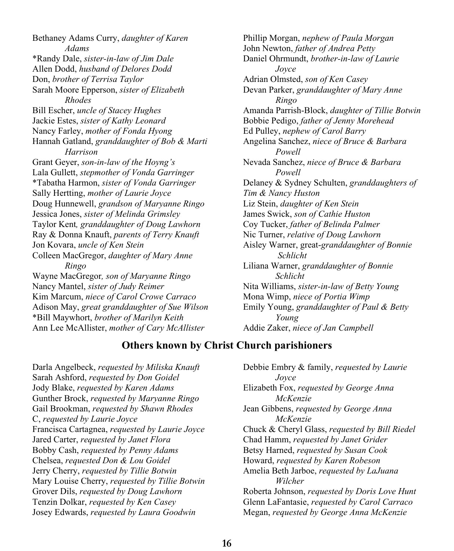Bethaney Adams Curry, *daughter of Karen Adams*  \*Randy Dale, *sister-in-law of Jim Dale*  Allen Dodd, *husband of Delores Dodd*  Don, *brother of Terrisa Taylor*  Sarah Moore Epperson, *sister of Elizabeth Rhodes*  Bill Escher, *uncle of Stacey Hughes*  Jackie Estes, *sister of Kathy Leonard*  Nancy Farley, *mother of Fonda Hyong*  Hannah Gatland, *granddaughter of Bob & Marti Harrison*  Grant Geyer, *son-in-law of the Hoyng's*  Lala Gullett, *stepmother of Vonda Garringer* \*Tabatha Harmon, *sister of Vonda Garringer* Sally Hertting, *mother of Laurie Joyce*  Doug Hunnewell, *grandson of Maryanne Ringo*  Jessica Jones, *sister of Melinda Grimsley*  Taylor Kent*, granddaughter of Doug Lawhorn* Ray & Donna Knauft, *parents of Terry Knauft*  Jon Kovara, *uncle of Ken Stein*  Colleen MacGregor, *daughter of Mary Anne Ringo*  Wayne MacGregor*, son of Maryanne Ringo* Nancy Mantel, *sister of Judy Reimer* Kim Marcum, *niece of Carol Crowe Carraco*  Adison May, *great granddaughter of Sue Wilson*  \*Bill Maywhort, *brother of Marilyn Keith*  Ann Lee McAllister, *mother of Cary McAllister* 

Phillip Morgan, *nephew of Paula Morgan*  John Newton, *father of Andrea Petty*  Daniel Ohrmundt, *brother-in-law of Laurie Joyce*  Adrian Olmsted, *son of Ken Casey*  Devan Parker, *granddaughter of Mary Anne Ringo*  Amanda Parrish-Block, *daughter of Tillie Botwin*  Bobbie Pedigo, *father of Jenny Morehead*  Ed Pulley, *nephew of Carol Barry*  Angelina Sanchez, *niece of Bruce & Barbara Powell*  Nevada Sanchez, *niece of Bruce & Barbara Powell* Delaney & Sydney Schulten, *granddaughters of Tim & Nancy Huston*  Liz Stein, *daughter of Ken Stein*  James Swick, *son of Cathie Huston*  Coy Tucker, *father of Belinda Palmer*  Nic Turner, *relative of Doug Lawhorn* Aisley Warner, great-*granddaughter of Bonnie Schlicht* Liliana Warner, *granddaughter of Bonnie Schlicht*  Nita Williams, *sister-in-law of Betty Young*  Mona Wimp, *niece of Portia Wimp*  Emily Young, *granddaughter of Paul & Betty Young* Addie Zaker, *niece of Jan Campbell* 

#### **Others known by Christ Church parishioners**

Darla Angelbeck, *requested by Miliska Knauft* Sarah Ashford, *requested by Don Goidel*  Jody Blake, *requested by Karen Adams* Gunther Brock, *requested by Maryanne Ringo*  Gail Brookman, *requested by Shawn Rhodes*  C, *requested by Laurie Joyce* Francisca Cartagnea, *requested by Laurie Joyce* Jared Carter, *requested by Janet Flora*  Bobby Cash, *requested by Penny Adams* Chelsea, *requested Don & Lou Goidel* Jerry Cherry, *requested by Tillie Botwin* Mary Louise Cherry, *requested by Tillie Botwin* Grover Dils, *requested by Doug Lawhorn*  Tenzin Dolkar, *requested by Ken Casey*  Josey Edwards, *requested by Laura Goodwin* 

Debbie Embry & family, *requested by Laurie Joyce*  Elizabeth Fox, *requested by George Anna McKenzie*  Jean Gibbens, *requested by George Anna McKenzie*  Chuck & Cheryl Glass, *requested by Bill Riedel*  Chad Hamm, *requested by Janet Grider*  Betsy Harned, *requested by Susan Cook* Howard, *requested by Karen Robeson*  Amelia Beth Jarboe, *requested by LaJuana Wilcher*  Roberta Johnson, *requested by Doris Love Hunt* Glenn LaFantasie, *requested by Carol Carraco*  Megan, *requested by George Anna McKenzie*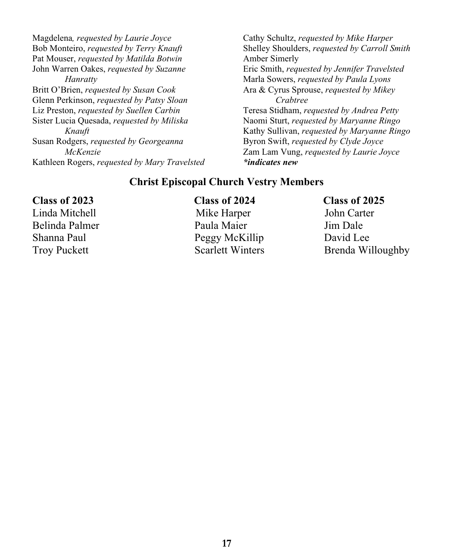Magdelena*, requested by Laurie Joyce*  Bob Monteiro, *requested by Terry Knauft*  Pat Mouser, *requested by Matilda Botwin* John Warren Oakes, *requested by Suzanne Hanratty*  Britt O'Brien, *requested by Susan Cook*  Glenn Perkinson, *requested by Patsy Sloan*  Liz Preston, *requested by Suellen Carbin*  Sister Lucia Quesada, *requested by Miliska Knauft* Susan Rodgers, *requested by Georgeanna McKenzie*  Kathleen Rogers, *requested by Mary Travelsted* Cathy Schultz, *requested by Mike Harper*  Shelley Shoulders, *requested by Carroll Smith*  Amber Simerly Eric Smith, *requested by Jennifer Travelsted*  Marla Sowers, *requested by Paula Lyons*  Ara & Cyrus Sprouse, *requested by Mikey Crabtree* Teresa Stidham, *requested by Andrea Petty*  Naomi Sturt, *requested by Maryanne Ringo*  Kathy Sullivan, *requested by Maryanne Ringo*  Byron Swift, *requested by Clyde Joyce* Zam Lam Vung, *requested by Laurie Joyce* 

#### *\*indicates new*

#### **Christ Episcopal Church Vestry Members**

#### **Class of 2023 Class of 2024 Class of 2025**

Linda Mitchell **Mike Harper** John Carter Belinda Palmer Paula Maier Jim Dale Shanna Paul Peggy McKillip David Lee

Troy Puckett Scarlett Winters Brenda Willoughby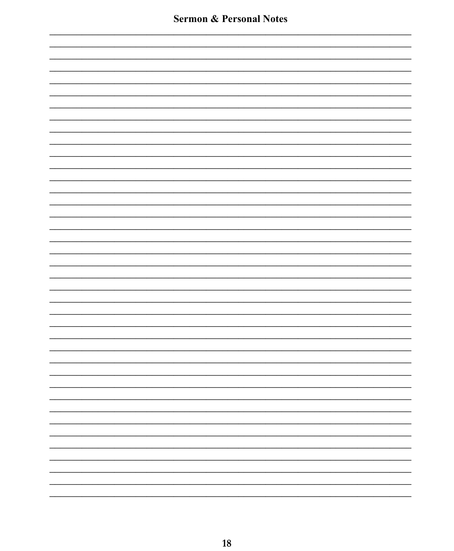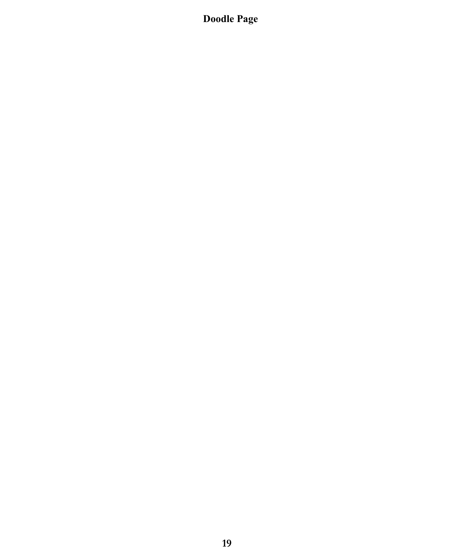# **Doodle Page**